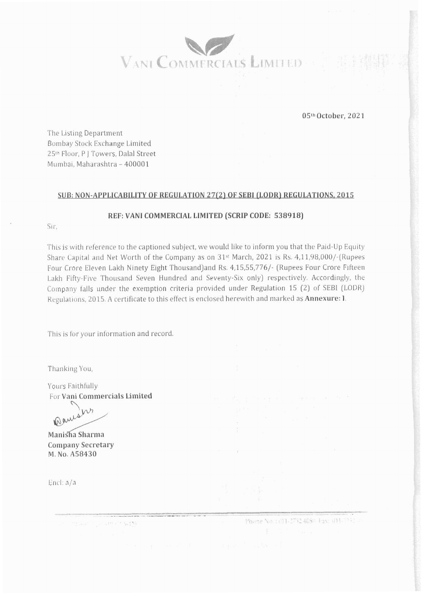

05th October, 2021

The Listing Department Bombay Stock Exchange Limited 25th Floor, P | Towers, Dalal Street Mumbai, Maharashtra - 400001

## SUB: NON-APPLICABILITY OF REGULATION 27(2) OF SEBI (LODR) REGULATIONS, 2015

## REF: VANI COMMERCIAL LIMITED (SCRIP CODE: 538918)

Sir.

This is with reference to the captioned subject, we would like to inform you that the Paid-Up Equity Share Capital and Net Worth of the Company as on 31<sup>st</sup> March, 2021 is Rs. 4,11,98,000/-(Rupees Four Crore Eleven Lakh Ninety Eight Thousand) and Rs. 4,15,55,776/- (Rupees Four Crore Fifteen Lakh Fifty-Five Thousand Seven Hundred and Seventy-Six only) respectively. Accordingly, the Company falls under the exemption criteria provided under Regulation 15 (2) of SEBI (LODR) Regulations, 2015. A certificate to this effect is enclosed herewith and marked as Annexure: 1.

This is for your information and record.

Thanking You,

Yours Faithfully For Vani Commercials Limited

ing want operately in \$41%.

 $W$ Warrs

Manisha Sharma **Company Secretary** M. No. A58430

Encl: a/a

Phone No. : 011-2732-4080 Fax: 031-7731 >